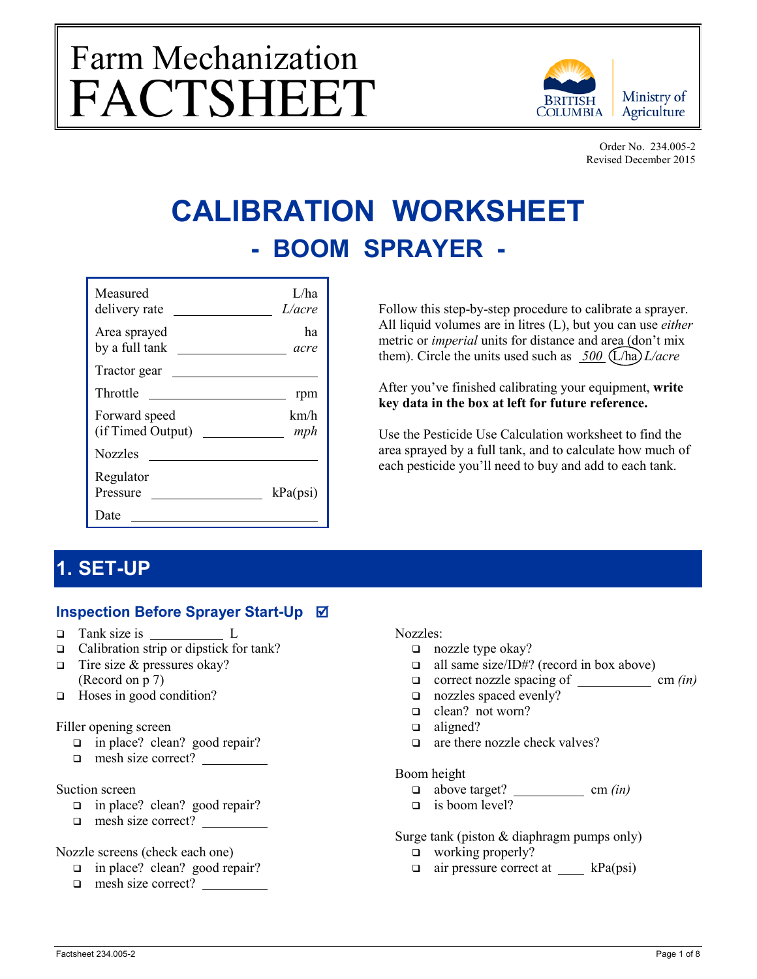# Farm Mechanization<br>FACTSHEET



Order No. 234.005-2 Revised December 2015

# **CALIBRATION WORKSHEET - BOOM SPRAYER -**

| Measured<br>delivery rate          | L/ha<br>L/acre |
|------------------------------------|----------------|
| Area sprayed<br>by a full tank     | ha<br>acre     |
| Tractor gear                       |                |
| Throttle                           | rpm            |
| Forward speed<br>(if Timed Output) | km/h<br>mph    |
| Nozzles                            |                |
| Regulator<br>Pressure              | kPa(psi)       |
| Date)                              |                |

Follow this step-by-step procedure to calibrate a sprayer. All liquid volumes are in litres (L), but you can use *either* metric or *imperial* units for distance and area (don't mix them). Circle the units used such as  $500$  (L/ha) *L/acre* 

After you've finished calibrating your equipment, **write key data in the box at left for future reference.**

Use the Pesticide Use Calculation worksheet to find the area sprayed by a full tank, and to calculate how much of each pesticide you'll need to buy and add to each tank.

# **1. SET-UP**

## **Inspection Before Sprayer Start-Up**

- □ Tank size is L
- $\Box$  Calibration strip or dipstick for tank?
- $\Box$  Tire size & pressures okay? (Record on p 7)
- □ Hoses in good condition?

#### Filler opening screen

- □ in place? clean? good repair?
- mesh size correct?

#### Suction screen

- □ in place? clean? good repair?
- $\Box$  mesh size correct?

#### Nozzle screens (check each one)

- in place? clean? good repair?
- mesh size correct?

#### Nozzles:

- □ nozzle type okay?
- $\Box$  all same size/ID#? (record in box above)
- correct nozzle spacing of cm *(in)*
- nozzles spaced evenly?
- □ clean? not worn?
- $\Box$  aligned?
- $\Box$  are there nozzle check valves?

#### Boom height

- $\Box$  above target? <u>cm</u>  $(in)$
- $\Box$  is boom level?

Surge tank (piston & diaphragm pumps only)

- □ working properly?
- $\Box$  air pressure correct at  $\_\_\_\$  kPa(psi)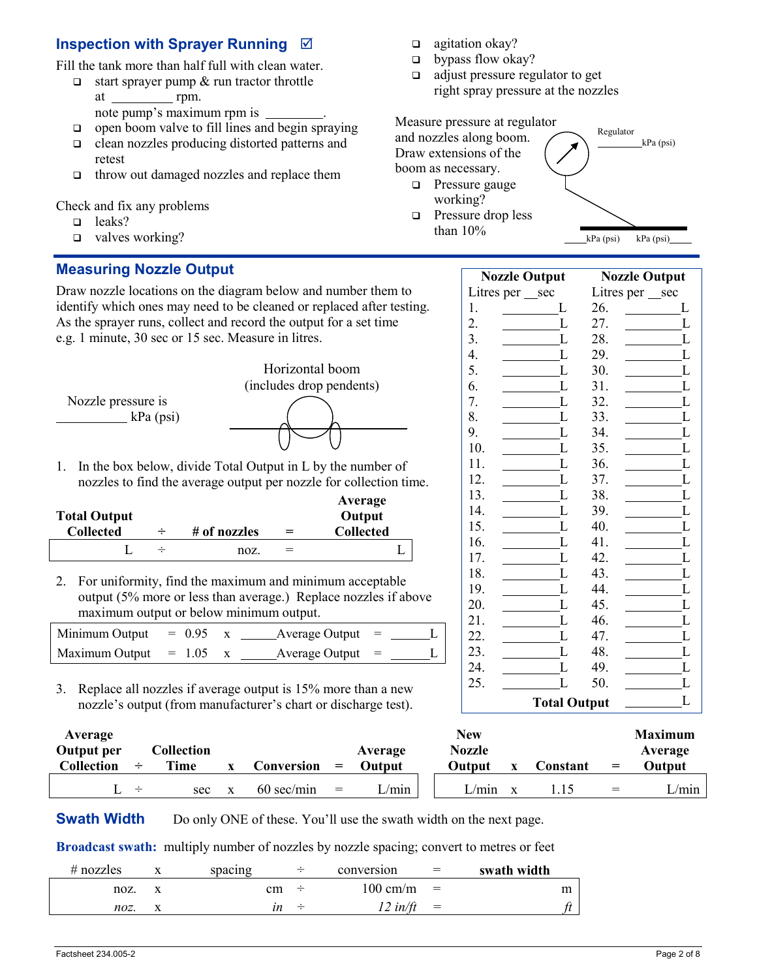## **Inspection with Sprayer Running**

Fill the tank more than half full with clean water.

- $\Box$  start sprayer pump & run tractor throttle at rpm.
	- note pump's maximum rpm is .
- $\Box$  open boom valve to fill lines and begin spraying
- clean nozzles producing distorted patterns and retest
- $\Box$  throw out damaged nozzles and replace them

#### Check and fix any problems

- leaks?
- $\Box$  valves working?

### **Measuring Nozzle Output**

Draw nozzle locations on the diagram below and number them to identify which ones may need to be cleaned or replaced after testing. As the sprayer runs, collect and record the output for a set time e.g. 1 minute, 30 sec or 15 sec. Measure in litres.



1. In the box below, divide Total Output in L by the number of nozzles to find the average output per nozzle for collection time.

| <b>Total Output</b> |        |              |     | Average<br>Output |
|---------------------|--------|--------------|-----|-------------------|
| <b>Collected</b>    |        | # of nozzles | $=$ | <b>Collected</b>  |
|                     | $\div$ | noz.         |     |                   |

2. For uniformity, find the maximum and minimum acceptable output (5% more or less than average.) Replace nozzles if above maximum output or below minimum output.

| Minimum Output          | $= 0.95$ | Average Output $=$       |  |
|-------------------------|----------|--------------------------|--|
| Maximum Output $= 1.05$ |          | $\Delta$ verage Output = |  |

3. Replace all nozzles if average output is 15% more than a new nozzle's output (from manufacturer's chart or discharge test).

- $\Box$  agitation okay?
- $\Box$  bypass flow okay?
- □ adjust pressure regulator to get right spray pressure at the nozzles

Measure pressure at regulator and nozzles along boom. Draw extensions of the boom as necessary.



□ Pressure drop less than 10%

| <b>Nozzle Output</b> |     | <b>Nozzle Output</b> |
|----------------------|-----|----------------------|
| Litres per _sec      |     | Litres per __sec     |
| 1.<br>L              | 26. | L                    |
| L<br>2.              | 27. | L                    |
| 3.<br>L              | 28. | L                    |
| 4.<br>L              | 29. | L                    |
| 5.<br>L              | 30. | L                    |
| 6.<br>L              | 31. | L                    |
| 7.<br>L              | 32. | L                    |
| 8.<br>L              | 33. | L                    |
| 9.<br>L              | 34. | L                    |
| 10.<br>L             | 35. | L                    |
| 11.<br>L             | 36. | L                    |
| 12.<br>L             | 37. | L                    |
| 13.<br>L             | 38. | L                    |
| 14.<br>L             | 39. | L                    |
| 15.<br>L             | 40. | L                    |
| L<br>16.             | 41. | L                    |
| 17.<br>L             | 42. | L                    |
| 18.<br>L             | 43. | L                    |
| 19.<br>L             | 44. | L                    |
| 20.<br>L             | 45. | L                    |
| 21.<br>L             | 46. | L                    |
| L<br>22.             | 47. | L                    |
| 23.<br>L             | 48. | L                    |
| 24.<br>L             | 49. | L                    |
| 25.<br>L             | 50. | L                    |
| <b>Total Output</b>  |     | L                    |
|                      |     |                      |

Regulator

 $kPa$  (psi)  $kPa$  (psi)

kPa (psi)

| Average           |        |            |                  |     |               | <b>New</b>    |          |                   | <b>Maximum</b> |
|-------------------|--------|------------|------------------|-----|---------------|---------------|----------|-------------------|----------------|
| Output per        |        | Collection |                  |     | Average       | <b>Nozzle</b> |          |                   | Average        |
| <b>Collection</b> |        | Time       | Conversion       | $=$ | <b>Output</b> | Output        | Constant | $\!\!\!=\!\!\!\!$ | Output         |
|                   | $\div$ | sec        | $60$ sec/min $=$ |     | L/min         | L/min         |          | $=$               | $\mu$ min      |

**Swath Width** Do only ONE of these. You'll use the swath width on the next page.

**Broadcast swath:** multiply number of nozzles by nozzle spacing; convert to metres or feet

| $#$ nozzles | spacing |                | conversion           | $=$ | swath width |
|-------------|---------|----------------|----------------------|-----|-------------|
| noz.        | cm      | $\overline{ }$ | $100 \text{ cm/m}$ = |     | m           |
| noz.        |         | $\overline{ }$ | $12$ in/ft           | $=$ |             |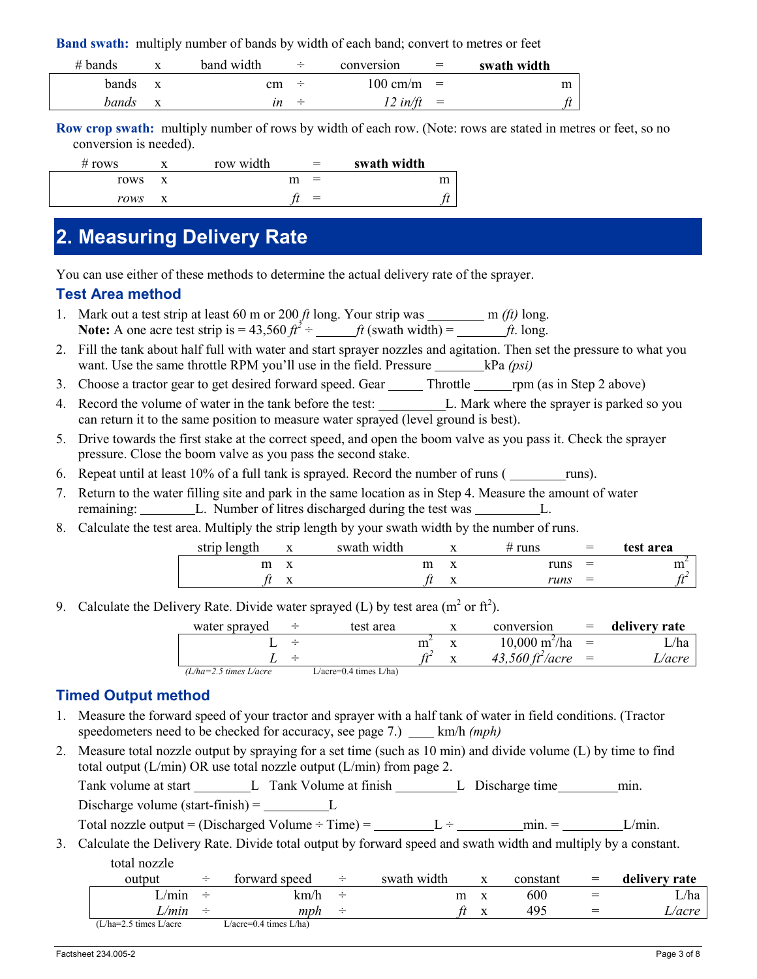**Band swath:** multiply number of bands by width of each band; convert to metres or feet

| $#$ bands |   | band width | $\div$ | conversion           | $=$ | swath width |
|-----------|---|------------|--------|----------------------|-----|-------------|
| bands     |   | cm         | $\div$ | $100 \text{ cm/m}$ = |     | m           |
| bands     | X | ın         | $\div$ | $12$ in/ft           | $=$ |             |

**Row crop swath:** multiply number of rows by width of each row. (Note: rows are stated in metres or feet, so no conversion is needed).

| # rows | row width | $=$ | swath width |
|--------|-----------|-----|-------------|
| rows   |           | $=$ | m           |
| rows   |           | $=$ |             |

# **2. Measuring Delivery Rate**

You can use either of these methods to determine the actual delivery rate of the sprayer.

#### **Test Area method**

- 1. Mark out a test strip at least 60 m or 200  $ft$  long. Your strip was  $\frac{m}{ft}$  m  $(ft)$  long. **Note:** A one acre test strip is =  $43,560 \text{ ft}^2 \div \text{ ft}$  (swath width) = *ft*. long.
- 2. Fill the tank about half full with water and start sprayer nozzles and agitation. Then set the pressure to what you want. Use the same throttle RPM you'll use in the field. Pressure **kPa** *(psi)*
- 3. Choose a tractor gear to get desired forward speed. Gear \_\_\_\_\_\_\_ Throttle \_\_\_\_\_\_ rpm (as in Step 2 above)
- 4. Record the volume of water in the tank before the test: L. Mark where the sprayer is parked so you can return it to the same position to measure water sprayed (level ground is best).
- 5. Drive towards the first stake at the correct speed, and open the boom valve as you pass it. Check the sprayer pressure. Close the boom valve as you pass the second stake.
- 6. Repeat until at least  $10\%$  of a full tank is sprayed. Record the number of runs ( $\frac{r_{\text{un}}}{r_{\text{un}}}}$
- 7. Return to the water filling site and park in the same location as in Step 4. Measure the amount of water remaining: L. Number of litres discharged during the test was L.
- 8. Calculate the test area. Multiply the strip length by your swath width by the number of runs.

| strip length | $\overline{ }$ | swath width | ∡⊾        | # runs | $=$ | test area |
|--------------|----------------|-------------|-----------|--------|-----|-----------|
|              |                | m           | △         | runs   | $=$ | ш         |
|              | $\lambda$      |             | $\Lambda$ | runs   | $=$ | .         |

9. Calculate the Delivery Rate. Divide water sprayed (L) by test area ( $m^2$  or  $ft^2$ ).

| $10,000 \text{ m}^2/\text{ha}$<br>$=$ | water sprayed | test area | conversion                       | delivery rate |
|---------------------------------------|---------------|-----------|----------------------------------|---------------|
|                                       |               |           |                                  | /ha           |
|                                       |               |           | 43,560 $\frac{\hbar^2}{\hbar^2}$ | L/acre        |

*(L/ha=2.5 times L/acre* L/acre=0.4 times L/ha)

#### **Timed Output method**

- 1. Measure the forward speed of your tractor and sprayer with a half tank of water in field conditions. (Tractor speedometers need to be checked for accuracy, see page 7.) \_\_\_\_ km/h *(mph)*
- 2. Measure total nozzle output by spraying for a set time (such as 10 min) and divide volume (L) by time to find total output (L/min) OR use total nozzle output (L/min) from page 2.

Tank volume at start L Tank Volume at finish L Discharge time min.

Discharge volume (start-finish)  $=$  L

Total nozzle output = (Discharged Volume ÷ Time) =  $L \div$  min. = L/min.

3. Calculate the Delivery Rate. Divide total output by forward speed and swath width and multiply by a constant. total nozzle

| output                           | ÷      | forward speed          | $\div$ | swath width |  | constant | $=$ | delivery rate |
|----------------------------------|--------|------------------------|--------|-------------|--|----------|-----|---------------|
| $\angle$ /min                    | $\div$ | km/h                   | $\div$ | m           |  | 600      | =   | L/ha          |
| $\angle m$ in                    | ÷      | mph                    | $\div$ |             |  | 495      |     | acre _        |
| $(L/ha=2.5 \text{ times } L/ace$ |        | L/acre=0.4 times L/ha) |        |             |  |          |     |               |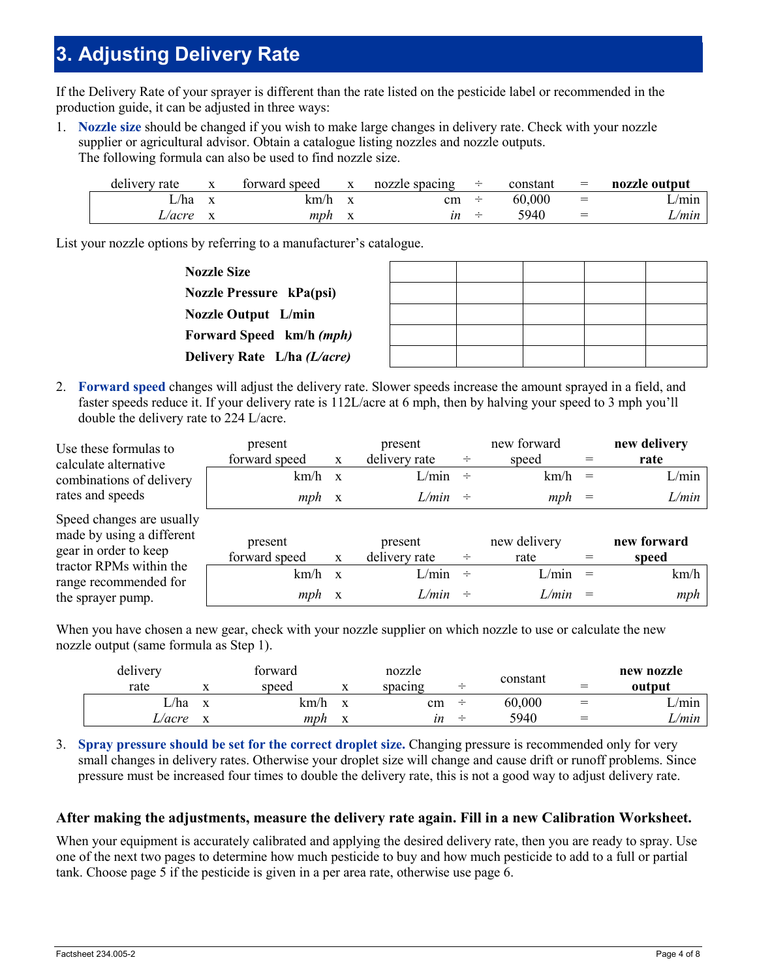# **3. Adjusting Delivery Rate**

If the Delivery Rate of your sprayer is different than the rate listed on the pesticide label or recommended in the production guide, it can be adjusted in three ways:

1. **Nozzle size** should be changed if you wish to make large changes in delivery rate. Check with your nozzle supplier or agricultural advisor. Obtain a catalogue listing nozzles and nozzle outputs. The following formula can also be used to find nozzle size.

| delivery rate | $\mathbf{v}$ | forward speed | л | nozzle spacing | ÷      | constant | $=$      | nozzle output |
|---------------|--------------|---------------|---|----------------|--------|----------|----------|---------------|
| L/ha          |              | km/h          |   | cm             | $\div$ | 60,000   | $=$      | L/min         |
| ∟∕acre        |              | mph           |   | ın             |        | 5940     | $\equiv$ | L/min         |

List your nozzle options by referring to a manufacturer's catalogue.

| <b>Nozzle Size</b>          |  |  |  |
|-----------------------------|--|--|--|
| Nozzle Pressure kPa(psi)    |  |  |  |
| <b>Nozzle Output</b> L/min  |  |  |  |
| Forward Speed km/h (mph)    |  |  |  |
| Delivery Rate L/ha (L/acre) |  |  |  |

2. **Forward speed** changes will adjust the delivery rate. Slower speeds increase the amount sprayed in a field, and faster speeds reduce it. If your delivery rate is 112L/acre at 6 mph, then by halving your speed to 3 mph you'll double the delivery rate to 224 L/acre.

| Use these formulas to<br>calculate alternative         | present<br>forward speed | X            | present<br>delivery rate | ÷ | new forward<br>speed | new delivery<br>rate |
|--------------------------------------------------------|--------------------------|--------------|--------------------------|---|----------------------|----------------------|
| combinations of delivery                               | km/h                     | $\mathbf{x}$ | $L/min$ ÷                |   | km/h                 | L/min                |
| rates and speeds                                       | $mph \propto$            |              | $L/min$ ÷                |   | mph                  | L/min                |
| Speed changes are usually<br>made by using a different | present                  |              | present                  |   | new delivery         | new forward          |
| gear in order to keep                                  | forward speed            | X            | delivery rate            | ÷ | rate                 | speed                |
| tractor RPMs within the<br>range recommended for       | km/h                     | $\mathbf{x}$ | $L/min$ ÷                |   | L/min                | km/h                 |
| the sprayer pump.                                      | mph                      | $\mathbf{X}$ | L/min                    | ÷ | L/min                | mph                  |

When you have chosen a new gear, check with your nozzle supplier on which nozzle to use or calculate the new nozzle output (same formula as Step 1).

| delivery |   | forward |              | nozzle  |        | constant |     | new nozzle  |
|----------|---|---------|--------------|---------|--------|----------|-----|-------------|
| rate     |   | speed   |              | spacing |        |          | $=$ | output      |
| ∟/ha     | X | km/h    | $\mathbf{v}$ | cm      | $\div$ | 60,000   | $=$ | $\sqrt{mn}$ |
| L/acre   | X | mph     | $\mathbf{v}$ | ın      | $\div$ | 5940     | $=$ | L/min       |

3. **Spray pressure should be set for the correct droplet size.** Changing pressure is recommended only for very small changes in delivery rates. Otherwise your droplet size will change and cause drift or runoff problems. Since pressure must be increased four times to double the delivery rate, this is not a good way to adjust delivery rate.

#### **After making the adjustments, measure the delivery rate again. Fill in a new Calibration Worksheet.**

When your equipment is accurately calibrated and applying the desired delivery rate, then you are ready to spray. Use one of the next two pages to determine how much pesticide to buy and how much pesticide to add to a full or partial tank. Choose page 5 if the pesticide is given in a per area rate, otherwise use page 6.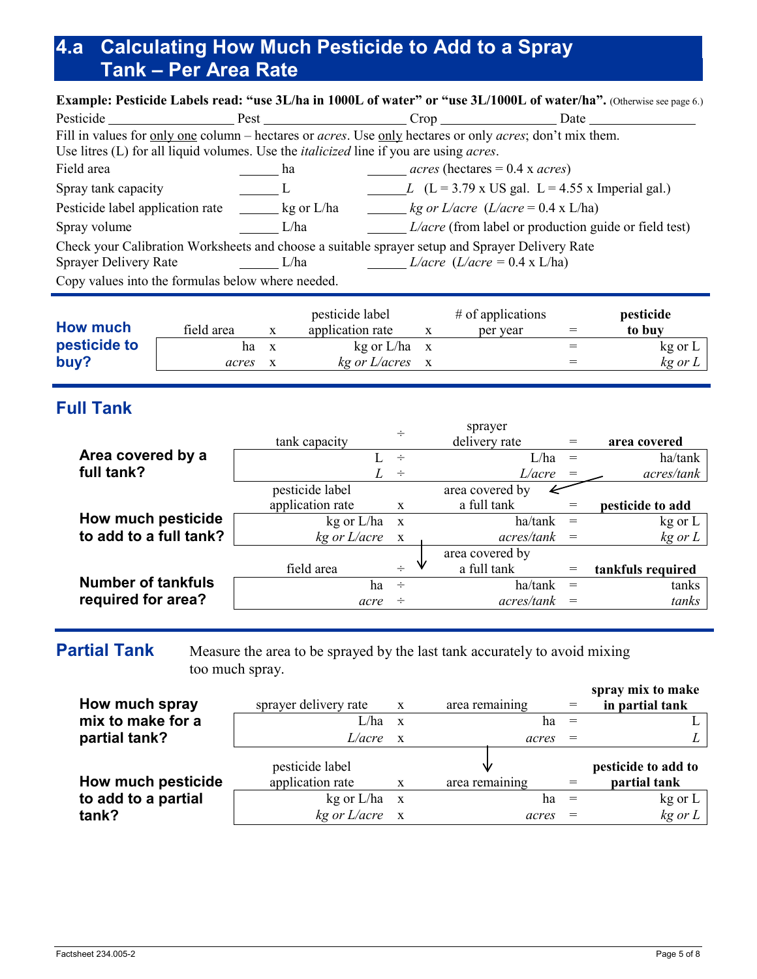# **4.a Calculating How Much Pesticide to Add to a Spray Tank – Per Area Rate**

| <b>Example: Pesticide Labels read: "use 3L/ha in 1000L of water" or "use 3L/1000L of water/ha".</b> (Otherwise see page 6.) |                |                                                  |                                                                    |  |  |  |  |  |  |  |
|-----------------------------------------------------------------------------------------------------------------------------|----------------|--------------------------------------------------|--------------------------------------------------------------------|--|--|--|--|--|--|--|
| Pesticide Pesticide Pest Pest Crop Crop Date Date                                                                           |                |                                                  |                                                                    |  |  |  |  |  |  |  |
| Fill in values for only one column – hectares or <i>acres</i> . Use only hectares or only <i>acres</i> ; don't mix them.    |                |                                                  |                                                                    |  |  |  |  |  |  |  |
| Use litres (L) for all liquid volumes. Use the <i>italicized</i> line if you are using <i>acres</i> .                       |                |                                                  |                                                                    |  |  |  |  |  |  |  |
| Field area                                                                                                                  | ha             | $acres$ (hectares = 0.4 x <i>acres</i> )         |                                                                    |  |  |  |  |  |  |  |
| Spray tank capacity                                                                                                         | $\overline{L}$ |                                                  | L $(L = 3.79 \text{ x US gal. } L = 4.55 \text{ x Imperial gal.})$ |  |  |  |  |  |  |  |
| Pesticide label application rate __________ kg or L/ha                                                                      |                | <i>kg or L/acre</i> $(L/acre = 0.4 \times L/ha)$ |                                                                    |  |  |  |  |  |  |  |
| Spray volume                                                                                                                | L/ha           |                                                  | $L/acre$ (from label or production guide or field test)            |  |  |  |  |  |  |  |
| Check your Calibration Worksheets and choose a suitable sprayer setup and Sprayer Delivery Rate                             |                |                                                  |                                                                    |  |  |  |  |  |  |  |
| Sprayer Delivery Rate                                                                                                       | L/ha           | <i>L</i> /acre ( <i>L</i> /acre = 0.4 x L/ha)    |                                                                    |  |  |  |  |  |  |  |
| Copy values into the formulas below where needed.                                                                           |                |                                                  |                                                                    |  |  |  |  |  |  |  |
|                                                                                                                             |                |                                                  |                                                                    |  |  |  |  |  |  |  |

| <b>How much</b> | field area |              | pesticide label<br>application rate | $#$ of applications<br>per year | $=$ | pesticide<br>to buy |
|-----------------|------------|--------------|-------------------------------------|---------------------------------|-----|---------------------|
| pesticide to    | ha         | $\mathbf{X}$ | $kg$ or $L/ha$ x                    |                                 |     | kg or L             |
| buy?            | acres      |              | kg or L/acres                       |                                 |     | kg or L             |

# **Full Tank**

|                           | $\div$           |              | sprayer         |                  |                   |
|---------------------------|------------------|--------------|-----------------|------------------|-------------------|
|                           | tank capacity    |              | delivery rate   |                  | area covered      |
| Area covered by a         |                  | $\div$       |                 | L/ha<br>$\equiv$ | ha/tank           |
| full tank?                | L                | $\div$       | L/acre          |                  | acres/tank        |
|                           | pesticide label  |              | area covered by |                  |                   |
|                           | application rate | X            | a full tank     |                  | pesticide to add  |
| How much pesticide        | kg or L/ha       | $\mathbf{X}$ | ha/tank         |                  | kg or L           |
| to add to a full tank?    | kg or L/acre     | $\mathbf{X}$ | acres/tank      |                  | $kg$ or $L$       |
|                           |                  |              | area covered by |                  |                   |
|                           | field area       | $\div$       | a full tank     | $=$              | tankfuls required |
| <b>Number of tankfuls</b> | ha               | $\div$       | ha/tank         | $=$              | tanks             |
| required for area?        | acre             | $\div$       | acres/tank      |                  | tanks             |

**Partial Tank** Measure the area to be sprayed by the last tank accurately to avoid mixing too much spray.

| How much spray      | sprayer delivery rate | $\mathbf{X}$ | area remaining | spray mix to make<br>in partial tank |
|---------------------|-----------------------|--------------|----------------|--------------------------------------|
| mix to make for a   | L/ha                  | $\mathbf{x}$ | ha             |                                      |
| partial tank?       | L/acre                | $\mathbf{x}$ | acres          |                                      |
|                     | pesticide label       |              |                | pesticide to add to                  |
| How much pesticide  | application rate      | $\mathbf{X}$ | area remaining | partial tank                         |
| to add to a partial | kg or L/ha            | $\mathbf{X}$ | ha             | $kg$ or $L$                          |
| tank?               | $kg$ or $L/acre$ x    |              | acres          | $kg$ or $L$                          |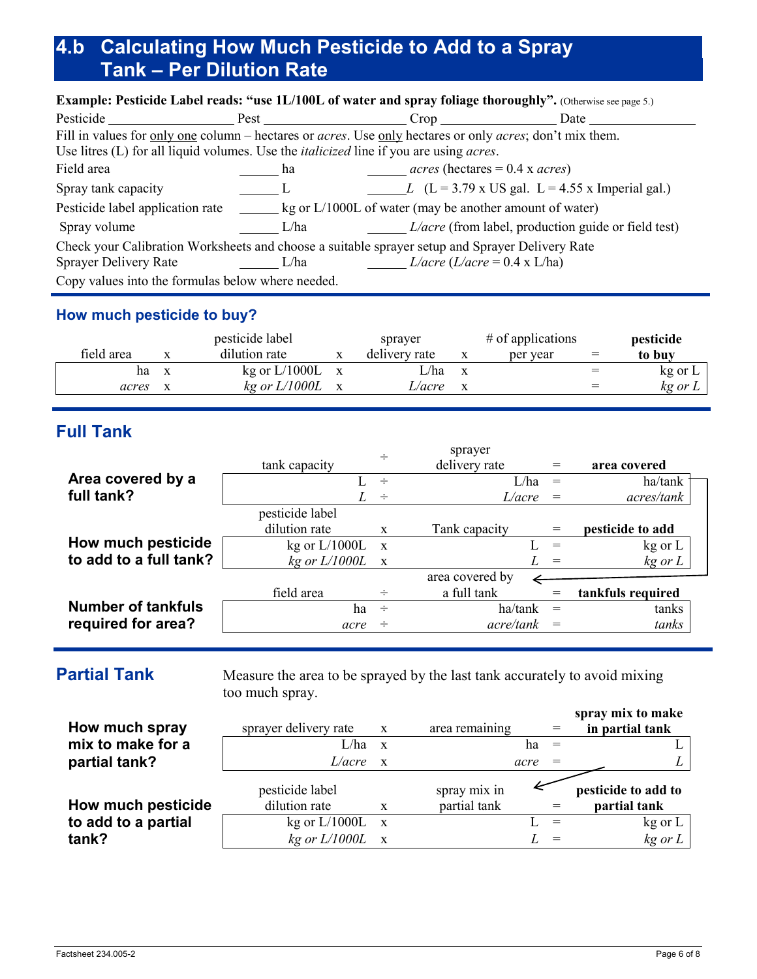# **4.b Calculating How Much Pesticide to Add to a Spray Tank – Per Dilution Rate**

| Example: Pesticide Label reads: "use 1L/100L of water and spray foliage thoroughly". (Otherwise see page 5.)             |                                                   |                                                 |                                                                    |  |  |  |  |  |  |  |
|--------------------------------------------------------------------------------------------------------------------------|---------------------------------------------------|-------------------------------------------------|--------------------------------------------------------------------|--|--|--|--|--|--|--|
| Pesticide Pesticide                                                                                                      | Pest Pest                                         | Crop                                            | Date                                                               |  |  |  |  |  |  |  |
| Fill in values for only one column – hectares or <i>acres</i> . Use only hectares or only <i>acres</i> ; don't mix them. |                                                   |                                                 |                                                                    |  |  |  |  |  |  |  |
| Use litres (L) for all liquid volumes. Use the <i>italicized</i> line if you are using <i>acres</i> .                    |                                                   |                                                 |                                                                    |  |  |  |  |  |  |  |
| Field area                                                                                                               | ha                                                | <i>acres</i> (hectares = $0.4$ x <i>acres</i> ) |                                                                    |  |  |  |  |  |  |  |
| Spray tank capacity                                                                                                      | $\Box$                                            |                                                 | <i>L</i> $(L = 3.79 \times US gal. L = 4.55 \times Imperial gal.)$ |  |  |  |  |  |  |  |
|                                                                                                                          |                                                   |                                                 |                                                                    |  |  |  |  |  |  |  |
| Spray volume                                                                                                             | L/ha                                              |                                                 | $L/acre$ (from label, production guide or field test)              |  |  |  |  |  |  |  |
| Check your Calibration Worksheets and choose a suitable sprayer setup and Sprayer Delivery Rate                          |                                                   |                                                 |                                                                    |  |  |  |  |  |  |  |
| Sprayer Delivery Rate                                                                                                    | L/ha                                              | <i>L</i> /acre ( <i>L</i> /acre = 0.4 x L/ha)   |                                                                    |  |  |  |  |  |  |  |
|                                                                                                                          | Copy values into the formulas below where needed. |                                                 |                                                                    |  |  |  |  |  |  |  |

### **How much pesticide to buy?**

|            |              | pesticide label   | sprayer       | $#$ of applications | pesticide |
|------------|--------------|-------------------|---------------|---------------------|-----------|
| field area |              | dilution rate     | delivery rate | per year            | to buy    |
| ha         | $\mathbf{x}$ | kg or $L/1000L$ x | L/ha          |                     | kg or L   |
| acres      |              | $kg$ or $L/1000L$ | L/acre        |                     | kg or L   |

# **Full Tank**

|                           |                   | ÷            | sprayer         |          |                   |
|---------------------------|-------------------|--------------|-----------------|----------|-------------------|
|                           | tank capacity     |              | delivery rate   | $=$      | area covered      |
| Area covered by a         |                   | $\div$       | L/ha            | $=$      | ha/tank           |
| full tank?                |                   | $\div$       | L/acre          |          | acres/tank        |
|                           | pesticide label   |              |                 |          |                   |
|                           | dilution rate     | $\mathbf{x}$ | Tank capacity   | $=$      | pesticide to add  |
| How much pesticide        | kg or $L/1000L$   | $\mathbf{x}$ |                 | $=$      | kg or L           |
| to add to a full tank?    | $kg$ or $L/1000L$ | $\mathbf{X}$ |                 | $=$      | kg or L           |
|                           |                   |              | area covered by |          |                   |
|                           | field area        | $\div$       | a full tank     | $=$      | tankfuls required |
| <b>Number of tankfuls</b> | ha                | $\div$       | ha/tank         | $=$      | tanks             |
| required for area?        | acre              | $\div$       | acre/tank       | $\equiv$ | tanks             |

**Partial Tank** Measure the area to be sprayed by the last tank accurately to avoid mixing too much spray.

| How much spray      | sprayer delivery rate | $\mathbf{X}$ | area remaining |      | $=$      | spray mix to make<br>in partial tank |
|---------------------|-----------------------|--------------|----------------|------|----------|--------------------------------------|
| mix to make for a   | $L/ha$ x              |              |                | ha   |          |                                      |
| partial tank?       | L/acre                | $\mathbf{x}$ |                | acre | $=$      |                                      |
|                     | pesticide label       |              | spray mix in   |      |          | pesticide to add to                  |
| How much pesticide  | dilution rate         | X            | partial tank   |      |          | partial tank                         |
| to add to a partial | kg or $L/1000L$ x     |              |                |      | $=$      | $kg$ or $L$                          |
| tank?               | $kg$ or $L/1000L$ x   |              |                |      | $\equiv$ | $kg$ or $L$                          |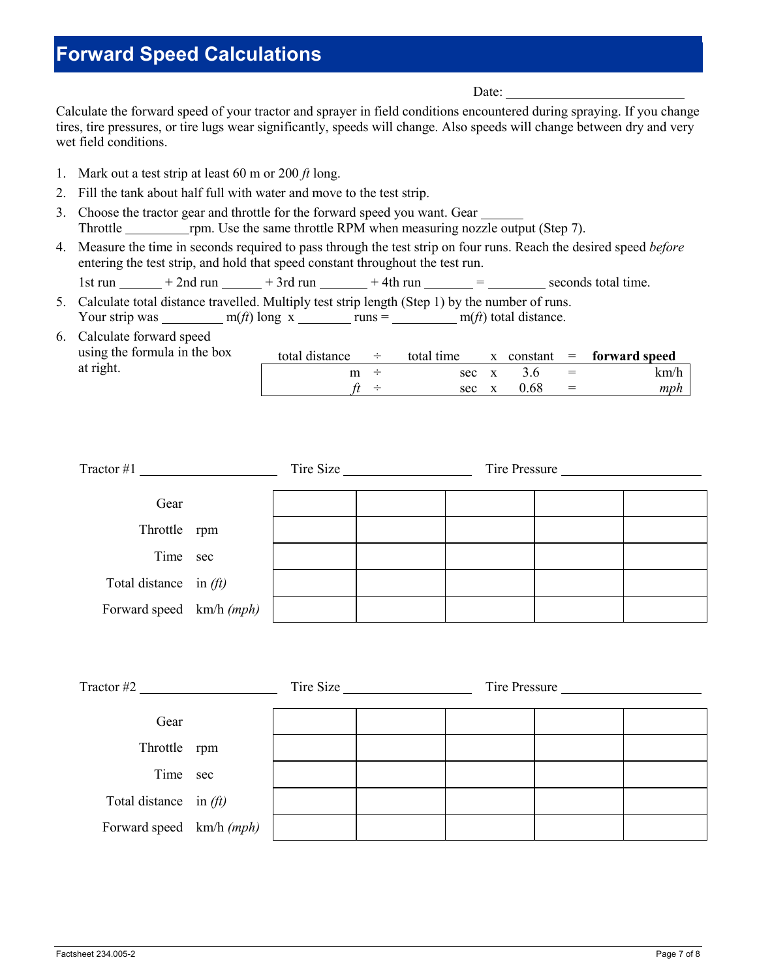# **Forward Speed Calculations**

Date:

Calculate the forward speed of your tractor and sprayer in field conditions encountered during spraying. If you change tires, tire pressures, or tire lugs wear significantly, speeds will change. Also speeds will change between dry and very wet field conditions.

- 1. Mark out a test strip at least 60 m or 200 *ft* long.
- 2. Fill the tank about half full with water and move to the test strip.
- 3. Choose the tractor gear and throttle for the forward speed you want. Gear Throttle <u>rpm</u>. Use the same throttle RPM when measuring nozzle output (Step 7).
- 4. Measure the time in seconds required to pass through the test strip on four runs. Reach the desired speed *before* entering the test strip, and hold that speed constant throughout the test run.
	- 1st run  $+2$ nd run  $+3$ rd run  $+4$ th run  $-$  seconds total time.
- 5. Calculate total distance travelled. Multiply test strip length (Step 1) by the number of runs. Your strip was  $\frac{m(ft)}{g}$  long x runs =  $\frac{m(ft)}{g}$  total distance.

| 6. Calculate forward speed   |                |        |            |      |     |                              |
|------------------------------|----------------|--------|------------|------|-----|------------------------------|
| using the formula in the box | total distance | $\div$ | total time |      |     | $x$ constant = forward speed |
| at right.                    |                |        | sec x      |      | $=$ | km/h                         |
|                              |                |        | sec x      | 0.68 | $=$ | mph                          |

| Tractor #1               |  | Tire Size |  | Tire Pressure |  |  |
|--------------------------|--|-----------|--|---------------|--|--|
| Gear                     |  |           |  |               |  |  |
| Throttle rpm             |  |           |  |               |  |  |
| Time sec                 |  |           |  |               |  |  |
| Total distance in $(ft)$ |  |           |  |               |  |  |
| Forward speed km/h (mph) |  |           |  |               |  |  |

| Tractor $#2$             |  | Tire Size |  | Tire Pressure |  |  |
|--------------------------|--|-----------|--|---------------|--|--|
| Gear                     |  |           |  |               |  |  |
| Throttle rpm             |  |           |  |               |  |  |
| Time sec                 |  |           |  |               |  |  |
| Total distance in $(ft)$ |  |           |  |               |  |  |
| Forward speed km/h (mph) |  |           |  |               |  |  |